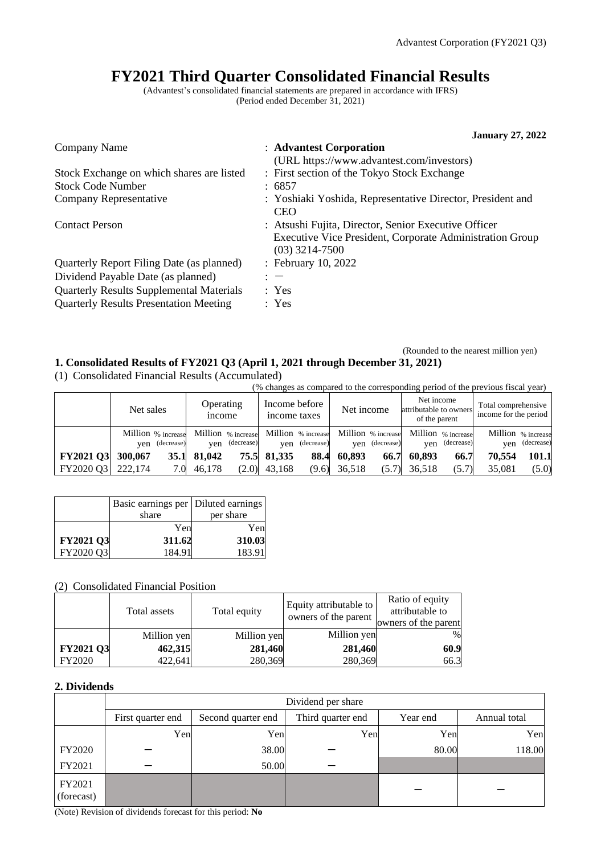# **FY2021 Third Quarter Consolidated Financial Results**

(Advantest's consolidated financial statements are prepared in accordance with IFRS) (Period ended December 31, 2021)

|                                                 | <b>January 27, 2022</b>                                                                                                              |
|-------------------------------------------------|--------------------------------------------------------------------------------------------------------------------------------------|
| Company Name                                    | : Advantest Corporation                                                                                                              |
|                                                 | (URL https://www.advantest.com/investors)                                                                                            |
| Stock Exchange on which shares are listed       | : First section of the Tokyo Stock Exchange                                                                                          |
| <b>Stock Code Number</b>                        | : 6857                                                                                                                               |
| Company Representative                          | : Yoshiaki Yoshida, Representative Director, President and<br><b>CEO</b>                                                             |
| <b>Contact Person</b>                           | : Atsushi Fujita, Director, Senior Executive Officer<br>Executive Vice President, Corporate Administration Group<br>$(03)$ 3214-7500 |
| Quarterly Report Filing Date (as planned)       | : February 10, 2022                                                                                                                  |
| Dividend Payable Date (as planned)              | $: -$                                                                                                                                |
| <b>Quarterly Results Supplemental Materials</b> | : Yes                                                                                                                                |
| <b>Quarterly Results Presentation Meeting</b>   | : Yes                                                                                                                                |

#### (Rounded to the nearest million yen) **1. Consolidated Results of FY2021 Q3 (April 1, 2021 through December 31, 2021)**

(1) Consolidated Financial Results (Accumulated)

|                  |                    |                |                            |            |                                             |                                  |                                                                                                       |            |                           |            | (% changes as compared to the corresponding period of the previous fiscal year) |            |
|------------------|--------------------|----------------|----------------------------|------------|---------------------------------------------|----------------------------------|-------------------------------------------------------------------------------------------------------|------------|---------------------------|------------|---------------------------------------------------------------------------------|------------|
|                  | Net sales          |                | Operating<br><i>n</i> come |            | Income before<br>Net income<br>income taxes |                                  | Net income<br>Total comprehensive<br>attributable to owners<br>income for the period<br>of the parent |            |                           |            |                                                                                 |            |
|                  | Million % increase | yen (decrease) | Million % increase<br>ven  | (decrease) | ven                                         | Million % increase<br>(decrease) | Million % increase<br>ven                                                                             | (decrease) | Million % increase<br>ven | (decrease) | Million % increase<br>ven                                                       | (decrease) |
| <b>FY2021 Q3</b> | 300,067            | 35.1           | 81,042                     |            | 75.5 81,335                                 | 88.4                             | 60.893                                                                                                | 66.7       | 60.893                    | 66.7       | 70,554                                                                          | 101.1      |
| FY2020 Q3        | 222,174            | 7.0            | 46.178                     | (2.0)      | 43,168                                      |                                  | $(9.6)$ 36,518                                                                                        | (5.7)      | 36,518                    | (5.7)      | 35,081                                                                          | (5.0)      |

|           | Basic earnings per   Diluted earnings<br>share | per share |
|-----------|------------------------------------------------|-----------|
|           | Yen                                            | Yenl      |
| FY2021 Q3 | 311.62                                         | 310.03    |
| FY2020 Q3 | 184.91                                         | 183.91    |

## (2) Consolidated Financial Position

|                  | Total assets | Total equity | Equity attributable to<br>owners of the parent | Ratio of equity<br>attributable to<br>owners of the parent |
|------------------|--------------|--------------|------------------------------------------------|------------------------------------------------------------|
|                  | Million yen  | Million yen  | Million yen                                    | %                                                          |
| <b>FY2021 Q3</b> | 462,315      | 281,460      | 281,460                                        | 60.9                                                       |
| FY2020           | 422.641      | 280,369      | 280,369                                        | 66.3                                                       |

### **2. Dividends**

|                      | Dividend per share |                    |                   |          |              |  |  |  |  |
|----------------------|--------------------|--------------------|-------------------|----------|--------------|--|--|--|--|
|                      | First quarter end  | Second quarter end | Third quarter end | Year end | Annual total |  |  |  |  |
|                      | Yen                | Yen                | Yen               | Yen      | Yen          |  |  |  |  |
| FY2020               |                    | 38.00              |                   | 80.00    | 118.00       |  |  |  |  |
| FY2021               |                    | 50.00              |                   |          |              |  |  |  |  |
| FY2021<br>(forecast) |                    |                    |                   |          |              |  |  |  |  |

(Note) Revision of dividends forecast for this period: **No**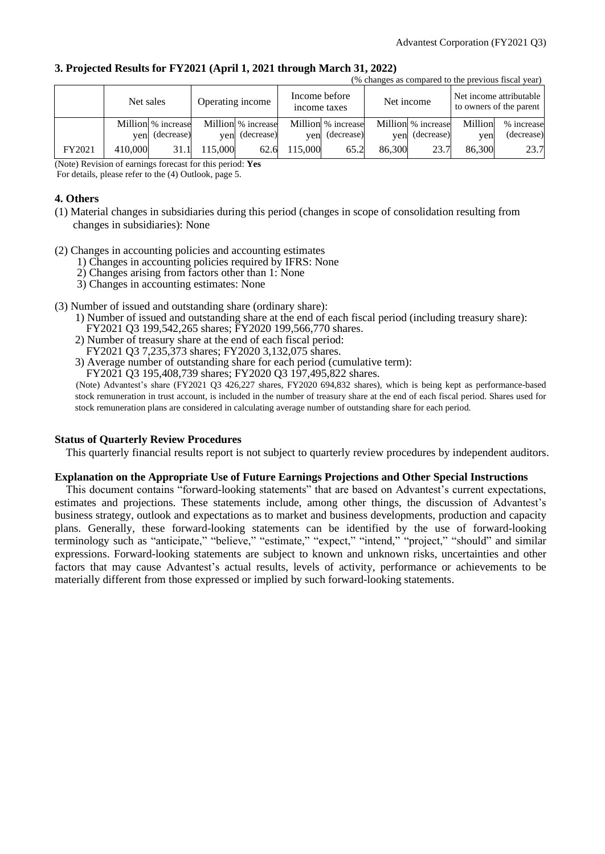(% changes as compared to the previous fiscal year)

### **3. Projected Results for FY2021 (April 1, 2021 through March 31, 2022)**

|        |           |                    |                  |                    |                               |                    |        |                    |         | 70 Changes as compared to the previous risear year. |
|--------|-----------|--------------------|------------------|--------------------|-------------------------------|--------------------|--------|--------------------|---------|-----------------------------------------------------|
|        | Net sales |                    | Operating income |                    | Income before<br>income taxes |                    |        | Net income         |         | Net income attributable<br>to owners of the parent  |
|        |           | Million % increase |                  | Million % increase |                               | Million % increase |        | Million % increase | Million | % increase                                          |
|        |           | ven (decrease)     | ven              | (decrease)         |                               | yen (decrease)     |        | yen (decrease)     | ven     | (decrease)                                          |
| FY2021 | 410,000   | 31.1               | 115,000          | 62.6               | 115,000                       | 65.2               | 86,300 | 23.7               | 86,300  | 23.7                                                |

(Note) Revision of earnings forecast for this period: **Yes**

For details, please refer to the (4) Outlook, page 5.

### **4. Others**

- (1) Material changes in subsidiaries during this period (changes in scope of consolidation resulting from changes in subsidiaries): None
- (2) Changes in accounting policies and accounting estimates
	- 1) Changes in accounting policies required by IFRS: None
	- 2) Changes arising from factors other than 1: None
	- 3) Changes in accounting estimates: None
- (3) Number of issued and outstanding share (ordinary share):
	- 1) Number of issued and outstanding share at the end of each fiscal period (including treasury share): FY2021 Q3 199,542,265 shares; FY2020 199,566,770 shares.
	- 2) Number of treasury share at the end of each fiscal period:
	- FY2021 Q3 7,235,373 shares; FY2020 3,132,075 shares.
	- 3) Average number of outstanding share for each period (cumulative term):
	- FY2021 Q3 195,408,739 shares; FY2020 Q3 197,495,822 shares.

(Note) Advantest's share (FY2021 Q3 426,227 shares, FY2020 694,832 shares), which is being kept as performance-based stock remuneration in trust account, is included in the number of treasury share at the end of each fiscal period. Shares used for stock remuneration plans are considered in calculating average number of outstanding share for each period.

#### **Status of Quarterly Review Procedures**

This quarterly financial results report is not subject to quarterly review procedures by independent auditors.

#### **Explanation on the Appropriate Use of Future Earnings Projections and Other Special Instructions**

This document contains "forward-looking statements" that are based on Advantest's current expectations, estimates and projections. These statements include, among other things, the discussion of Advantest's business strategy, outlook and expectations as to market and business developments, production and capacity plans. Generally, these forward-looking statements can be identified by the use of forward-looking terminology such as "anticipate," "believe," "estimate," "expect," "intend," "project," "should" and similar expressions. Forward-looking statements are subject to known and unknown risks, uncertainties and other factors that may cause Advantest's actual results, levels of activity, performance or achievements to be materially different from those expressed or implied by such forward-looking statements.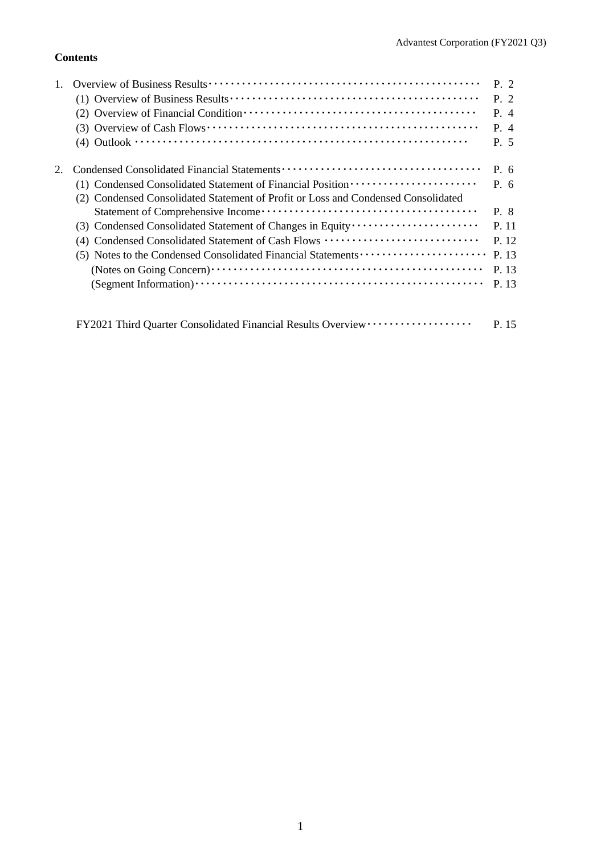## **Contents**

|    |                                                                                                                                    | P. 2  |
|----|------------------------------------------------------------------------------------------------------------------------------------|-------|
|    |                                                                                                                                    | P. 2  |
|    |                                                                                                                                    | P. 4  |
|    |                                                                                                                                    | P. 4  |
|    | $(4)$ Outlook $\cdots$ $\cdots$ $\cdots$ $\cdots$ $\cdots$ $\cdots$ $\cdots$ $\cdots$ $\cdots$ $\cdots$ $\cdots$ $\cdots$ $\cdots$ | P. 5  |
| 2. |                                                                                                                                    | P. 6  |
|    | (1) Condensed Consolidated Statement of Financial Position ······················                                                  | P. 6  |
|    | (2) Condensed Consolidated Statement of Profit or Loss and Condensed Consolidated                                                  |       |
|    |                                                                                                                                    | P. 8  |
|    |                                                                                                                                    | P. 11 |
|    | (4) Condensed Consolidated Statement of Cash Flows                                                                                 | P. 12 |
|    | (5) Notes to the Condensed Consolidated Financial Statements                                                                       | P. 13 |
|    |                                                                                                                                    | P 13  |
|    |                                                                                                                                    | P. 13 |
|    |                                                                                                                                    |       |
|    | FY2021 Third Quarter Consolidated Financial Results Overview ···················                                                   | P. 15 |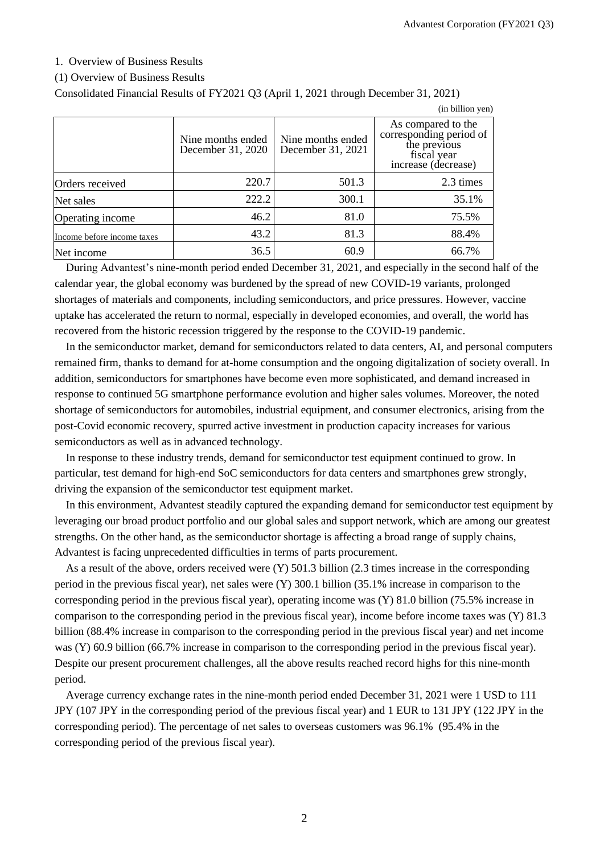$(in$  billion  $van$ 

### 1. Overview of Business Results

#### (1) Overview of Business Results

Consolidated Financial Results of FY2021 Q3 (April 1, 2021 through December 31, 2021)

|                            |                                        |                                        | (III UHHOII YEII)                                                                                   |
|----------------------------|----------------------------------------|----------------------------------------|-----------------------------------------------------------------------------------------------------|
|                            | Nine months ended<br>December 31, 2020 | Nine months ended<br>December 31, 2021 | As compared to the<br>corresponding period of<br>the previous<br>fiscal year<br>increase (decrease) |
| Orders received            | 220.7                                  | 501.3                                  | 2.3 times                                                                                           |
| Net sales                  | 222.2                                  | 300.1                                  | 35.1%                                                                                               |
| Operating income           | 46.2                                   | 81.0                                   | 75.5%                                                                                               |
| Income before income taxes | 43.2                                   | 81.3                                   | 88.4%                                                                                               |
| Net income                 | 36.5                                   | 60.9                                   | 66.7%                                                                                               |

During Advantest's nine-month period ended December 31, 2021, and especially in the second half of the calendar year, the global economy was burdened by the spread of new COVID-19 variants, prolonged shortages of materials and components, including semiconductors, and price pressures. However, vaccine uptake has accelerated the return to normal, especially in developed economies, and overall, the world has recovered from the historic recession triggered by the response to the COVID-19 pandemic.

In the semiconductor market, demand for semiconductors related to data centers, AI, and personal computers remained firm, thanks to demand for at-home consumption and the ongoing digitalization of society overall. In addition, semiconductors for smartphones have become even more sophisticated, and demand increased in response to continued 5G smartphone performance evolution and higher sales volumes. Moreover, the noted shortage of semiconductors for automobiles, industrial equipment, and consumer electronics, arising from the post-Covid economic recovery, spurred active investment in production capacity increases for various semiconductors as well as in advanced technology.

In response to these industry trends, demand for semiconductor test equipment continued to grow. In particular, test demand for high-end SoC semiconductors for data centers and smartphones grew strongly, driving the expansion of the semiconductor test equipment market.

In this environment, Advantest steadily captured the expanding demand for semiconductor test equipment by leveraging our broad product portfolio and our global sales and support network, which are among our greatest strengths. On the other hand, as the semiconductor shortage is affecting a broad range of supply chains, Advantest is facing unprecedented difficulties in terms of parts procurement.

As a result of the above, orders received were (Y) 501.3 billion (2.3 times increase in the corresponding period in the previous fiscal year), net sales were (Y) 300.1 billion (35.1% increase in comparison to the corresponding period in the previous fiscal year), operating income was (Y) 81.0 billion (75.5% increase in comparison to the corresponding period in the previous fiscal year), income before income taxes was (Y) 81.3 billion (88.4% increase in comparison to the corresponding period in the previous fiscal year) and net income was (Y) 60.9 billion (66.7% increase in comparison to the corresponding period in the previous fiscal year). Despite our present procurement challenges, all the above results reached record highs for this nine-month period.

Average currency exchange rates in the nine-month period ended December 31, 2021 were 1 USD to 111 JPY (107 JPY in the corresponding period of the previous fiscal year) and 1 EUR to 131 JPY (122 JPY in the corresponding period). The percentage of net sales to overseas customers was 96.1% (95.4% in the corresponding period of the previous fiscal year).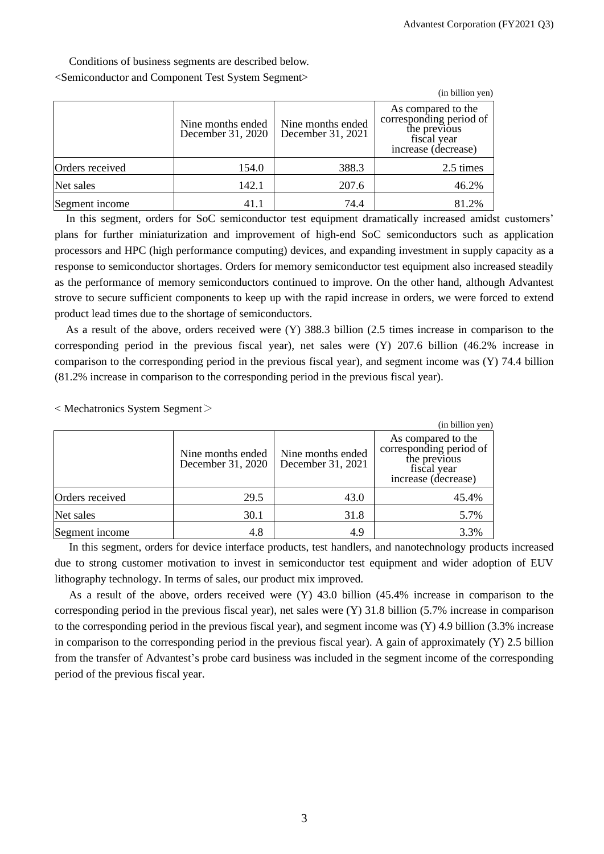|                 |                                        |                                        | (in billion yen)                                                                                    |
|-----------------|----------------------------------------|----------------------------------------|-----------------------------------------------------------------------------------------------------|
|                 | Nine months ended<br>December 31, 2020 | Nine months ended<br>December 31, 2021 | As compared to the<br>corresponding period of<br>the previous<br>fiscal year<br>increase (decrease) |
| Orders received | 154.0                                  | 388.3                                  | 2.5 times                                                                                           |
| Net sales       | 142.1                                  | 207.6                                  | 46.2%                                                                                               |
| Segment income  | 41.1                                   | 74.4                                   | 81.2%                                                                                               |

Conditions of business segments are described below. <Semiconductor and Component Test System Segment>

In this segment, orders for SoC semiconductor test equipment dramatically increased amidst customers' plans for further miniaturization and improvement of high-end SoC semiconductors such as application processors and HPC (high performance computing) devices, and expanding investment in supply capacity as a response to semiconductor shortages. Orders for memory semiconductor test equipment also increased steadily as the performance of memory semiconductors continued to improve. On the other hand, although Advantest strove to secure sufficient components to keep up with the rapid increase in orders, we were forced to extend product lead times due to the shortage of semiconductors.

As a result of the above, orders received were (Y) 388.3 billion (2.5 times increase in comparison to the corresponding period in the previous fiscal year), net sales were (Y) 207.6 billion (46.2% increase in comparison to the corresponding period in the previous fiscal year), and segment income was (Y) 74.4 billion (81.2% increase in comparison to the corresponding period in the previous fiscal year).

 $<$  Mechatronics System Segment $>$ 

|                 |                                        |                                        | (in billion yen)                                                                                    |
|-----------------|----------------------------------------|----------------------------------------|-----------------------------------------------------------------------------------------------------|
|                 | Nine months ended<br>December 31, 2020 | Nine months ended<br>December 31, 2021 | As compared to the<br>corresponding period of<br>the previous<br>fiscal year<br>increase (decrease) |
| Orders received | 29.5                                   | 43.0                                   | 45.4%                                                                                               |
| Net sales       | 30.1                                   | 31.8                                   | 5.7%                                                                                                |
| Segment income  | 4.8                                    | 4.9                                    | 3.3%                                                                                                |

In this segment, orders for device interface products, test handlers, and nanotechnology products increased due to strong customer motivation to invest in semiconductor test equipment and wider adoption of EUV lithography technology. In terms of sales, our product mix improved.

As a result of the above, orders received were (Y) 43.0 billion (45.4% increase in comparison to the corresponding period in the previous fiscal year), net sales were (Y) 31.8 billion (5.7% increase in comparison to the corresponding period in the previous fiscal year), and segment income was (Y) 4.9 billion (3.3% increase in comparison to the corresponding period in the previous fiscal year). A gain of approximately (Y) 2.5 billion from the transfer of Advantest's probe card business was included in the segment income of the corresponding period of the previous fiscal year.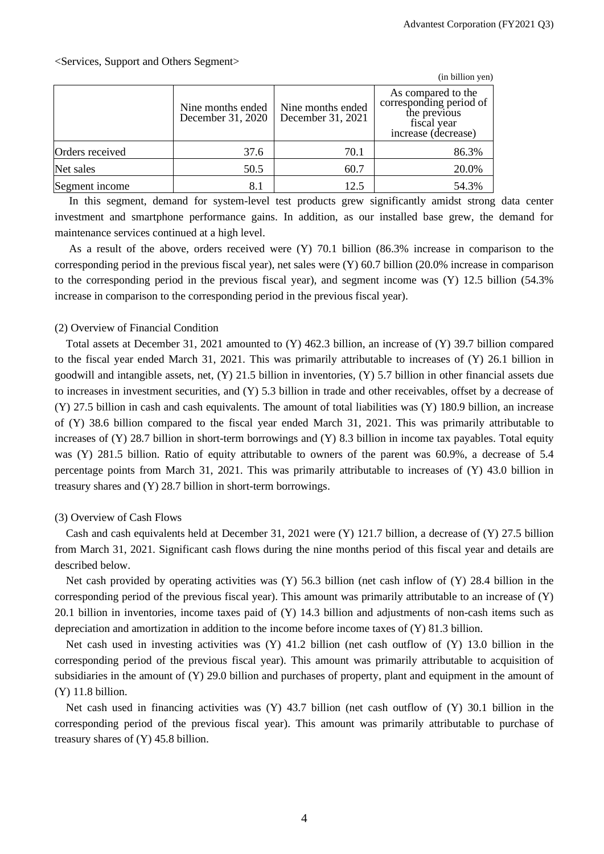|                 |                                        |                                        | (in billion yen)                                                                                    |
|-----------------|----------------------------------------|----------------------------------------|-----------------------------------------------------------------------------------------------------|
|                 | Nine months ended<br>December 31, 2020 | Nine months ended<br>December 31, 2021 | As compared to the<br>corresponding period of<br>the previous<br>fiscal year<br>increase (decrease) |
| Orders received | 37.6                                   | 70.1                                   | 86.3%                                                                                               |
| Net sales       | 50.5                                   | 60.7                                   | 20.0%                                                                                               |
| Segment income  | 8.1                                    | 12.5                                   | 54.3%                                                                                               |

In this segment, demand for system-level test products grew significantly amidst strong data center investment and smartphone performance gains. In addition, as our installed base grew, the demand for maintenance services continued at a high level.

As a result of the above, orders received were (Y) 70.1 billion (86.3% increase in comparison to the corresponding period in the previous fiscal year), net sales were (Y) 60.7 billion (20.0% increase in comparison to the corresponding period in the previous fiscal year), and segment income was (Y) 12.5 billion (54.3% increase in comparison to the corresponding period in the previous fiscal year).

#### (2) Overview of Financial Condition

Total assets at December 31, 2021 amounted to (Y) 462.3 billion, an increase of (Y) 39.7 billion compared to the fiscal year ended March 31, 2021. This was primarily attributable to increases of (Y) 26.1 billion in goodwill and intangible assets, net, (Y) 21.5 billion in inventories, (Y) 5.7 billion in other financial assets due to increases in investment securities, and (Y) 5.3 billion in trade and other receivables, offset by a decrease of (Y) 27.5 billion in cash and cash equivalents. The amount of total liabilities was (Y) 180.9 billion, an increase of (Y) 38.6 billion compared to the fiscal year ended March 31, 2021. This was primarily attributable to increases of (Y) 28.7 billion in short-term borrowings and (Y) 8.3 billion in income tax payables. Total equity was (Y) 281.5 billion. Ratio of equity attributable to owners of the parent was 60.9%, a decrease of 5.4 percentage points from March 31, 2021. This was primarily attributable to increases of (Y) 43.0 billion in treasury shares and (Y) 28.7 billion in short-term borrowings.

### (3) Overview of Cash Flows

Cash and cash equivalents held at December 31, 2021 were (Y) 121.7 billion, a decrease of (Y) 27.5 billion from March 31, 2021. Significant cash flows during the nine months period of this fiscal year and details are described below.

Net cash provided by operating activities was (Y) 56.3 billion (net cash inflow of (Y) 28.4 billion in the corresponding period of the previous fiscal year). This amount was primarily attributable to an increase of (Y) 20.1 billion in inventories, income taxes paid of (Y) 14.3 billion and adjustments of non-cash items such as depreciation and amortization in addition to the income before income taxes of (Y) 81.3 billion.

Net cash used in investing activities was (Y) 41.2 billion (net cash outflow of (Y) 13.0 billion in the corresponding period of the previous fiscal year). This amount was primarily attributable to acquisition of subsidiaries in the amount of (Y) 29.0 billion and purchases of property, plant and equipment in the amount of (Y) 11.8 billion.

Net cash used in financing activities was (Y) 43.7 billion (net cash outflow of (Y) 30.1 billion in the corresponding period of the previous fiscal year). This amount was primarily attributable to purchase of treasury shares of (Y) 45.8 billion.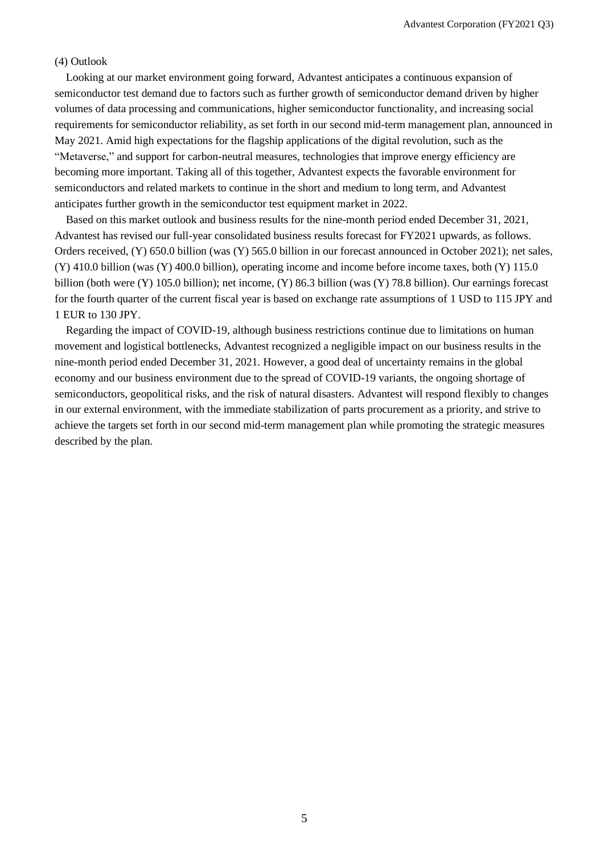### (4) Outlook

Looking at our market environment going forward, Advantest anticipates a continuous expansion of semiconductor test demand due to factors such as further growth of semiconductor demand driven by higher volumes of data processing and communications, higher semiconductor functionality, and increasing social requirements for semiconductor reliability, as set forth in our second mid-term management plan, announced in May 2021. Amid high expectations for the flagship applications of the digital revolution, such as the "Metaverse," and support for carbon-neutral measures, technologies that improve energy efficiency are becoming more important. Taking all of this together, Advantest expects the favorable environment for semiconductors and related markets to continue in the short and medium to long term, and Advantest anticipates further growth in the semiconductor test equipment market in 2022.

Based on this market outlook and business results for the nine-month period ended December 31, 2021, Advantest has revised our full-year consolidated business results forecast for FY2021 upwards, as follows. Orders received, (Y) 650.0 billion (was (Y) 565.0 billion in our forecast announced in October 2021); net sales, (Y) 410.0 billion (was (Y) 400.0 billion), operating income and income before income taxes, both (Y) 115.0 billion (both were (Y) 105.0 billion); net income, (Y) 86.3 billion (was (Y) 78.8 billion). Our earnings forecast for the fourth quarter of the current fiscal year is based on exchange rate assumptions of 1 USD to 115 JPY and 1 EUR to 130 JPY.

Regarding the impact of COVID-19, although business restrictions continue due to limitations on human movement and logistical bottlenecks, Advantest recognized a negligible impact on our business results in the nine-month period ended December 31, 2021. However, a good deal of uncertainty remains in the global economy and our business environment due to the spread of COVID-19 variants, the ongoing shortage of semiconductors, geopolitical risks, and the risk of natural disasters. Advantest will respond flexibly to changes in our external environment, with the immediate stabilization of parts procurement as a priority, and strive to achieve the targets set forth in our second mid-term management plan while promoting the strategic measures described by the plan.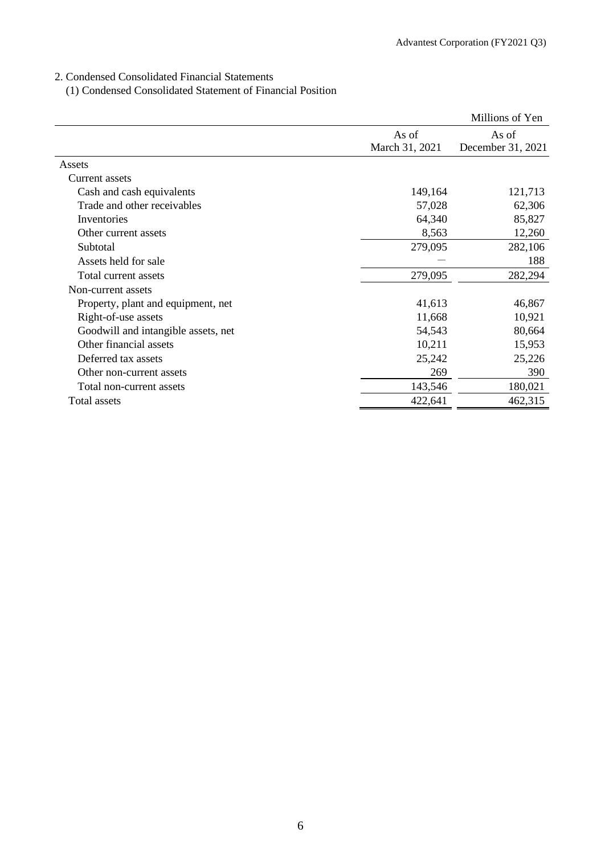## 2. Condensed Consolidated Financial Statements

(1) Condensed Consolidated Statement of Financial Position

|                                     |                | Millions of Yen   |
|-------------------------------------|----------------|-------------------|
|                                     | As of          | As of             |
|                                     | March 31, 2021 | December 31, 2021 |
| Assets                              |                |                   |
| Current assets                      |                |                   |
| Cash and cash equivalents           | 149,164        | 121,713           |
| Trade and other receivables         | 57,028         | 62,306            |
| Inventories                         | 64,340         | 85,827            |
| Other current assets                | 8,563          | 12,260            |
| Subtotal                            | 279,095        | 282,106           |
| Assets held for sale                |                | 188               |
| Total current assets                | 279,095        | 282,294           |
| Non-current assets                  |                |                   |
| Property, plant and equipment, net  | 41,613         | 46,867            |
| Right-of-use assets                 | 11,668         | 10,921            |
| Goodwill and intangible assets, net | 54,543         | 80,664            |
| Other financial assets              | 10,211         | 15,953            |
| Deferred tax assets                 | 25,242         | 25,226            |
| Other non-current assets            | 269            | 390               |
| Total non-current assets            | 143,546        | 180,021           |
| Total assets                        | 422,641        | 462,315           |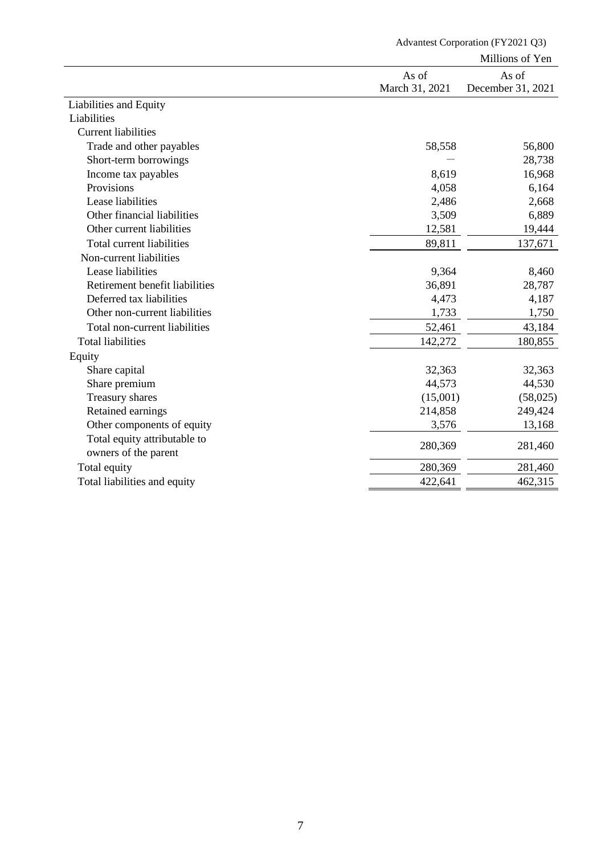|                                | Advantest Corporation (FY2021 Q3) |                   |  |  |
|--------------------------------|-----------------------------------|-------------------|--|--|
|                                |                                   | Millions of Yen   |  |  |
|                                | As of                             | As of             |  |  |
|                                | March 31, 2021                    | December 31, 2021 |  |  |
| Liabilities and Equity         |                                   |                   |  |  |
| Liabilities                    |                                   |                   |  |  |
| <b>Current liabilities</b>     |                                   |                   |  |  |
| Trade and other payables       | 58,558                            | 56,800            |  |  |
| Short-term borrowings          |                                   | 28,738            |  |  |
| Income tax payables            | 8,619                             | 16,968            |  |  |
| Provisions                     | 4,058                             | 6,164             |  |  |
| Lease liabilities              | 2,486                             | 2,668             |  |  |
| Other financial liabilities    | 3,509                             | 6,889             |  |  |
| Other current liabilities      | 12,581                            | 19,444            |  |  |
| Total current liabilities      | 89,811                            | 137,671           |  |  |
| Non-current liabilities        |                                   |                   |  |  |
| Lease liabilities              | 9,364                             | 8,460             |  |  |
| Retirement benefit liabilities | 36,891                            | 28,787            |  |  |
| Deferred tax liabilities       | 4,473                             | 4,187             |  |  |
| Other non-current liabilities  | 1,733                             | 1,750             |  |  |
| Total non-current liabilities  | 52,461                            | 43,184            |  |  |
| <b>Total liabilities</b>       | 142,272                           | 180,855           |  |  |
| Equity                         |                                   |                   |  |  |
| Share capital                  | 32,363                            | 32,363            |  |  |
| Share premium                  | 44,573                            | 44,530            |  |  |
| Treasury shares                | (15,001)                          | (58,025)          |  |  |
| Retained earnings              | 214,858                           | 249,424           |  |  |
| Other components of equity     | 3,576                             | 13,168            |  |  |
| Total equity attributable to   |                                   |                   |  |  |
| owners of the parent           | 280,369                           | 281,460           |  |  |
| Total equity                   | 280,369                           | 281,460           |  |  |
| Total liabilities and equity   | 422,641                           | 462,315           |  |  |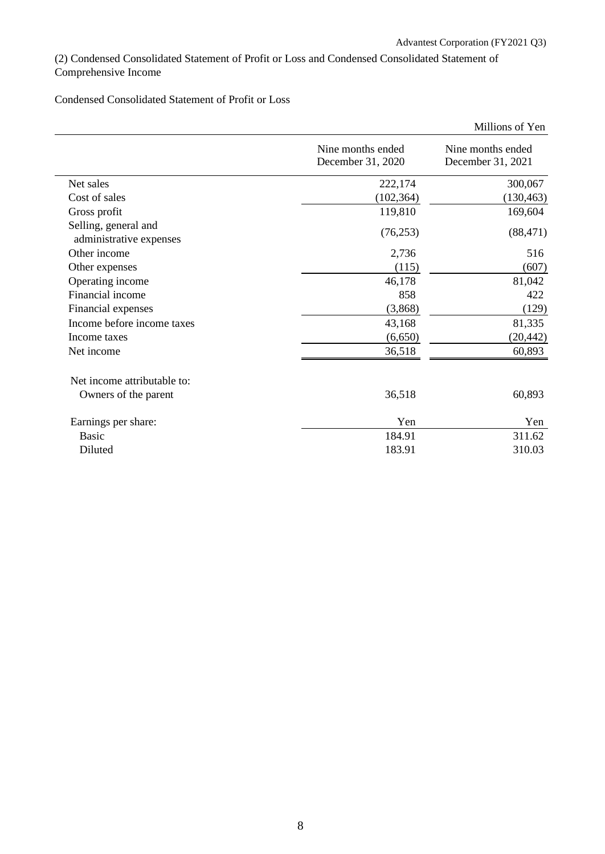(2) Condensed Consolidated Statement of Profit or Loss and Condensed Consolidated Statement of Comprehensive Income

Condensed Consolidated Statement of Profit or Loss

|                                                 |                                        | Millions of Yen                        |
|-------------------------------------------------|----------------------------------------|----------------------------------------|
|                                                 | Nine months ended<br>December 31, 2020 | Nine months ended<br>December 31, 2021 |
| Net sales                                       | 222,174                                | 300,067                                |
| Cost of sales                                   | (102, 364)                             | (130, 463)                             |
| Gross profit                                    | 119,810                                | 169,604                                |
| Selling, general and<br>administrative expenses | (76, 253)                              | (88, 471)                              |
| Other income                                    | 2,736                                  | 516                                    |
| Other expenses                                  | (115)                                  | (607)                                  |
| Operating income                                | 46,178                                 | 81,042                                 |
| Financial income                                | 858                                    | 422                                    |
| Financial expenses                              | (3,868)                                | (129)                                  |
| Income before income taxes                      | 43,168                                 | 81,335                                 |
| Income taxes                                    | (6,650)                                | (20, 442)                              |
| Net income                                      | 36,518                                 | 60,893                                 |
| Net income attributable to:                     |                                        |                                        |
| Owners of the parent                            | 36,518                                 | 60,893                                 |
| Earnings per share:                             | Yen                                    | Yen                                    |
| <b>Basic</b>                                    | 184.91                                 | 311.62                                 |
| Diluted                                         | 183.91                                 | 310.03                                 |
|                                                 |                                        |                                        |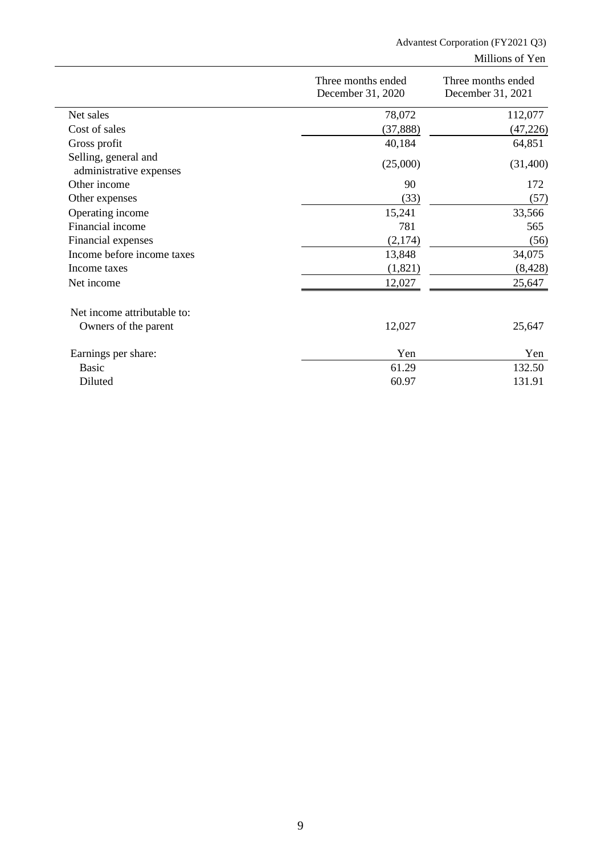## Advantest Corporation (FY2021 Q3) Millions of Yen

|                                                 | Three months ended<br>December 31, 2020 | Three months ended<br>December 31, 2021 |
|-------------------------------------------------|-----------------------------------------|-----------------------------------------|
| Net sales                                       | 78,072                                  | 112,077                                 |
| Cost of sales                                   | (37, 888)                               | (47, 226)                               |
| Gross profit                                    | 40,184                                  | 64,851                                  |
| Selling, general and<br>administrative expenses | (25,000)                                | (31,400)                                |
| Other income                                    | 90                                      | 172                                     |
| Other expenses                                  | (33)                                    | (57)                                    |
| Operating income                                | 15,241                                  | 33,566                                  |
| Financial income                                | 781                                     | 565                                     |
| Financial expenses                              | (2,174)                                 | (56)                                    |
| Income before income taxes                      | 13,848                                  | 34,075                                  |
| Income taxes                                    | (1,821)                                 | (8, 428)                                |
| Net income                                      | 12,027                                  | 25,647                                  |
| Net income attributable to:                     |                                         |                                         |
| Owners of the parent                            | 12,027                                  | 25,647                                  |
| Earnings per share:                             | Yen                                     | Yen                                     |
| <b>Basic</b>                                    | 61.29                                   | 132.50                                  |
| Diluted                                         | 60.97                                   | 131.91                                  |
|                                                 |                                         |                                         |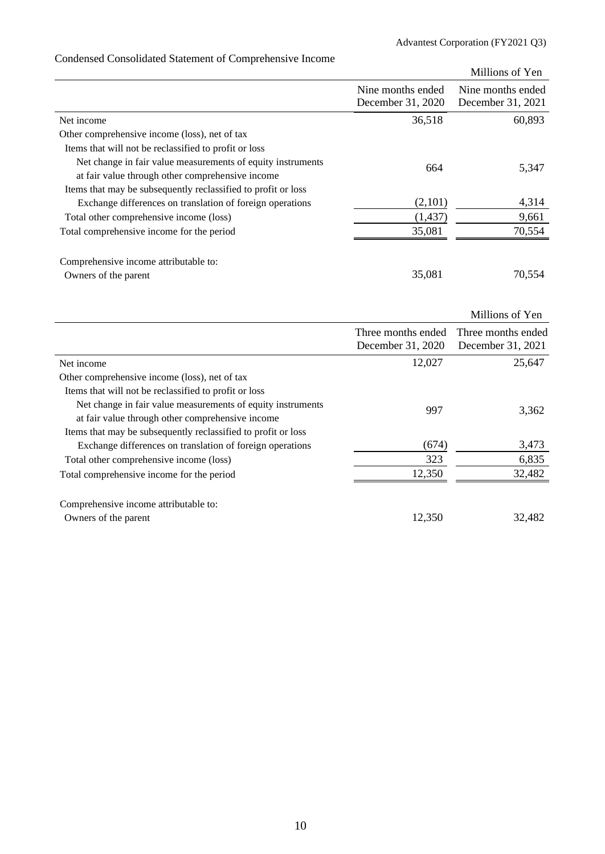|                                                               |                   | Millions of Yen   |
|---------------------------------------------------------------|-------------------|-------------------|
|                                                               | Nine months ended | Nine months ended |
|                                                               | December 31, 2020 | December 31, 2021 |
| Net income                                                    | 36,518            | 60,893            |
| Other comprehensive income (loss), net of tax                 |                   |                   |
| Items that will not be reclassified to profit or loss         |                   |                   |
| Net change in fair value measurements of equity instruments   | 664               | 5,347             |
| at fair value through other comprehensive income              |                   |                   |
| Items that may be subsequently reclassified to profit or loss |                   |                   |
| Exchange differences on translation of foreign operations     | (2,101)           | 4,314             |
| Total other comprehensive income (loss)                       | (1,437)           | 9,661             |
| Total comprehensive income for the period                     | 35,081            | 70,554            |
| Comprehensive income attributable to:                         |                   |                   |
| Owners of the parent                                          | 35,081            | 70,554            |
|                                                               |                   |                   |

# Condensed Consolidated Statement of Comprehensive Income

|                                                               |                    | Millions of Yen    |
|---------------------------------------------------------------|--------------------|--------------------|
|                                                               | Three months ended | Three months ended |
|                                                               | December 31, 2020  | December 31, 2021  |
| Net income                                                    | 12,027             | 25,647             |
| Other comprehensive income (loss), net of tax                 |                    |                    |
| Items that will not be reclassified to profit or loss         |                    |                    |
| Net change in fair value measurements of equity instruments   | 997                | 3,362              |
| at fair value through other comprehensive income              |                    |                    |
| Items that may be subsequently reclassified to profit or loss |                    |                    |
| Exchange differences on translation of foreign operations     | (674)              | 3,473              |
| Total other comprehensive income (loss)                       | 323                | 6,835              |
| Total comprehensive income for the period                     | 12,350             | 32,482             |
|                                                               |                    |                    |
| Comprehensive income attributable to:                         |                    |                    |
| Owners of the parent                                          | 12,350             | 32,482             |
|                                                               |                    |                    |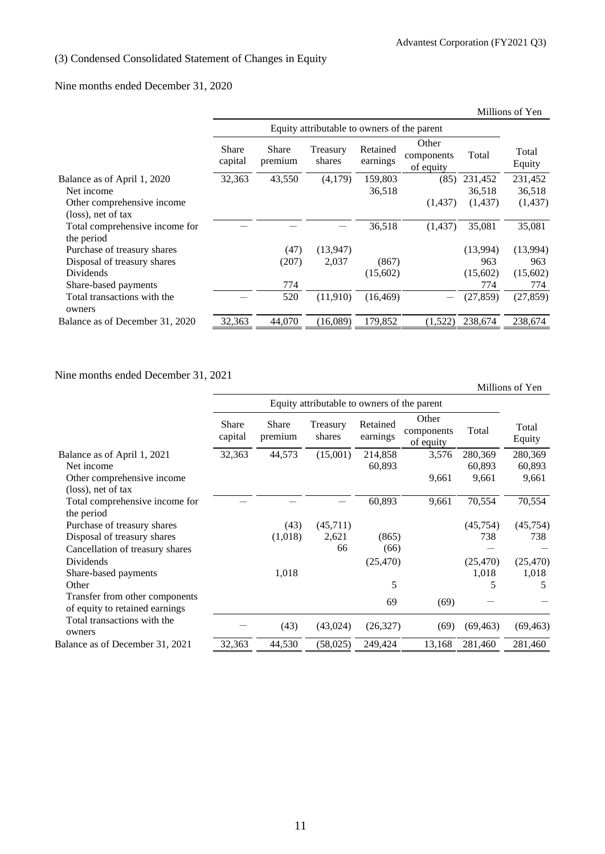## (3) Condensed Consolidated Statement of Changes in Equity

## Nine months ended December 31, 2020

|                                       |                         |                  |                    |                      |                                  |           | Millions of Yen |
|---------------------------------------|-------------------------|------------------|--------------------|----------------------|----------------------------------|-----------|-----------------|
|                                       |                         |                  |                    |                      |                                  |           |                 |
|                                       | <b>Share</b><br>capital | Share<br>premium | Treasury<br>shares | Retained<br>earnings | Other<br>components<br>of equity | Total     | Total<br>Equity |
| Balance as of April 1, 2020           | 32,363                  | 43,550           | (4,179)            | 159,803              | (85)                             | 231,452   | 231,452         |
| Net income                            |                         |                  |                    | 36,518               |                                  | 36,518    | 36,518          |
| Other comprehensive income            |                         |                  |                    |                      | (1, 437)                         | (1,437)   | (1,437)         |
| (loss), net of tax                    |                         |                  |                    |                      |                                  |           |                 |
| Total comprehensive income for        |                         |                  |                    | 36,518               | (1,437)                          | 35,081    | 35,081          |
| the period                            |                         |                  |                    |                      |                                  |           |                 |
| Purchase of treasury shares           |                         | (47)             | (13,947)           |                      |                                  | (13,994)  | (13,994)        |
| Disposal of treasury shares           |                         | (207)            | 2,037              | (867)                |                                  | 963       | 963             |
| <b>Dividends</b>                      |                         |                  |                    | (15,602)             |                                  | (15,602)  | (15,602)        |
| Share-based payments                  |                         | 774              |                    |                      |                                  | 774       | 774             |
| Total transactions with the<br>owners |                         | 520              | (11,910)           | (16, 469)            |                                  | (27, 859) | (27, 859)       |
| Balance as of December 31, 2020       | 32,363                  | 44,070           | (16,089)           | 179,852              | (1,522)                          | 238,674   | 238,674         |

## Nine months ended December 31, 2021

Millions of Yen

|                                              | Share<br>capital | <b>Share</b><br>premium | Treasury<br>shares | Retained<br>earnings | Other<br>components<br>of equity | Total     | Total<br>Equity |
|----------------------------------------------|------------------|-------------------------|--------------------|----------------------|----------------------------------|-----------|-----------------|
| Balance as of April 1, 2021                  | 32,363           | 44,573                  | (15,001)           | 214,858              | 3,576                            | 280,369   | 280,369         |
| Net income                                   |                  |                         |                    | 60,893               |                                  | 60,893    | 60,893          |
| Other comprehensive income                   |                  |                         |                    |                      | 9,661                            | 9,661     | 9,661           |
| (loss), net of tax                           |                  |                         |                    |                      |                                  |           |                 |
| Total comprehensive income for<br>the period |                  |                         |                    | 60,893               | 9,661                            | 70,554    | 70,554          |
| Purchase of treasury shares                  |                  | (43)                    | (45,711)           |                      |                                  | (45, 754) | (45, 754)       |
| Disposal of treasury shares                  |                  | (1,018)                 | 2,621              | (865)                |                                  | 738       | 738             |
| Cancellation of treasury shares              |                  |                         | 66                 | (66)                 |                                  |           |                 |
| Dividends                                    |                  |                         |                    | (25, 470)            |                                  | (25, 470) | (25, 470)       |
| Share-based payments                         |                  | 1,018                   |                    |                      |                                  | 1,018     | 1,018           |
| Other                                        |                  |                         |                    | 5                    |                                  | 5         | 5               |
| Transfer from other components               |                  |                         |                    | 69                   | (69)                             |           |                 |
| of equity to retained earnings               |                  |                         |                    |                      |                                  |           |                 |
| Total transactions with the<br>owners        |                  | (43)                    | (43,024)           | (26,327)             | (69)                             | (69, 463) | (69, 463)       |
| Balance as of December 31, 2021              | 32,363           | 44,530                  | (58,025)           | 249,424              | 13,168                           | 281,460   | 281,460         |
|                                              |                  |                         |                    |                      |                                  |           |                 |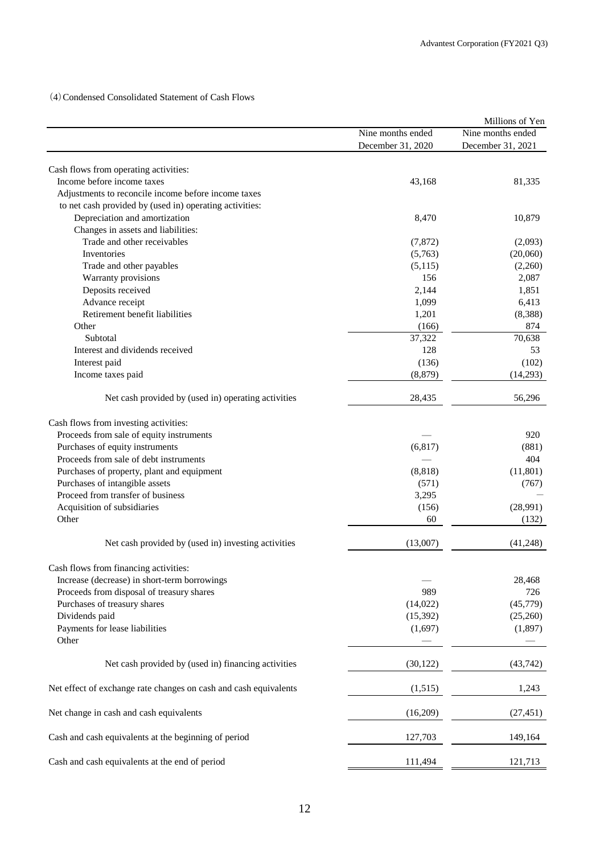(4)Condensed Consolidated Statement of Cash Flows

|                                                                  |                   | Millions of Yen   |
|------------------------------------------------------------------|-------------------|-------------------|
|                                                                  | Nine months ended | Nine months ended |
|                                                                  | December 31, 2020 | December 31, 2021 |
|                                                                  |                   |                   |
| Cash flows from operating activities:                            |                   |                   |
| Income before income taxes                                       | 43,168            | 81,335            |
| Adjustments to reconcile income before income taxes              |                   |                   |
| to net cash provided by (used in) operating activities:          |                   |                   |
| Depreciation and amortization                                    | 8,470             | 10,879            |
| Changes in assets and liabilities:                               |                   |                   |
| Trade and other receivables                                      | (7, 872)          | (2,093)           |
| Inventories                                                      | (5,763)           | (20,060)          |
| Trade and other payables                                         | (5,115)           | (2,260)           |
| Warranty provisions                                              | 156               | 2,087             |
| Deposits received                                                | 2,144             | 1,851             |
| Advance receipt                                                  | 1,099             | 6,413             |
| Retirement benefit liabilities                                   | 1,201             | (8,388)           |
| Other                                                            | (166)             | 874               |
| Subtotal                                                         | 37,322            | 70,638            |
| Interest and dividends received                                  | 128               | 53                |
| Interest paid                                                    | (136)             | (102)             |
| Income taxes paid                                                | (8, 879)          | (14,293)          |
| Net cash provided by (used in) operating activities              | 28,435            | 56,296            |
|                                                                  |                   |                   |
| Cash flows from investing activities:                            |                   |                   |
| Proceeds from sale of equity instruments                         |                   | 920               |
| Purchases of equity instruments                                  | (6, 817)          | (881)             |
| Proceeds from sale of debt instruments                           |                   | 404               |
| Purchases of property, plant and equipment                       | (8, 818)          | (11, 801)         |
| Purchases of intangible assets                                   | (571)             | (767)             |
| Proceed from transfer of business                                | 3,295             |                   |
| Acquisition of subsidiaries                                      | (156)             | (28,991)          |
| Other                                                            | 60                | (132)             |
|                                                                  |                   |                   |
| Net cash provided by (used in) investing activities              | (13,007)          | (41, 248)         |
| Cash flows from financing activities:                            |                   |                   |
| Increase (decrease) in short-term borrowings                     |                   | 28,468            |
| Proceeds from disposal of treasury shares                        | 989               | 726               |
| Purchases of treasury shares                                     | (14, 022)         | (45, 779)         |
| Dividends paid                                                   | (15, 392)         | (25,260)          |
| Payments for lease liabilities                                   | (1,697)           | (1,897)           |
| Other                                                            |                   |                   |
| Net cash provided by (used in) financing activities              | (30, 122)         | (43, 742)         |
| Net effect of exchange rate changes on cash and cash equivalents | (1,515)           | 1,243             |
|                                                                  |                   |                   |
| Net change in cash and cash equivalents                          | (16,209)          | (27, 451)         |
| Cash and cash equivalents at the beginning of period             | 127,703           | 149,164           |
| Cash and cash equivalents at the end of period                   | 111,494           | 121,713           |
|                                                                  |                   |                   |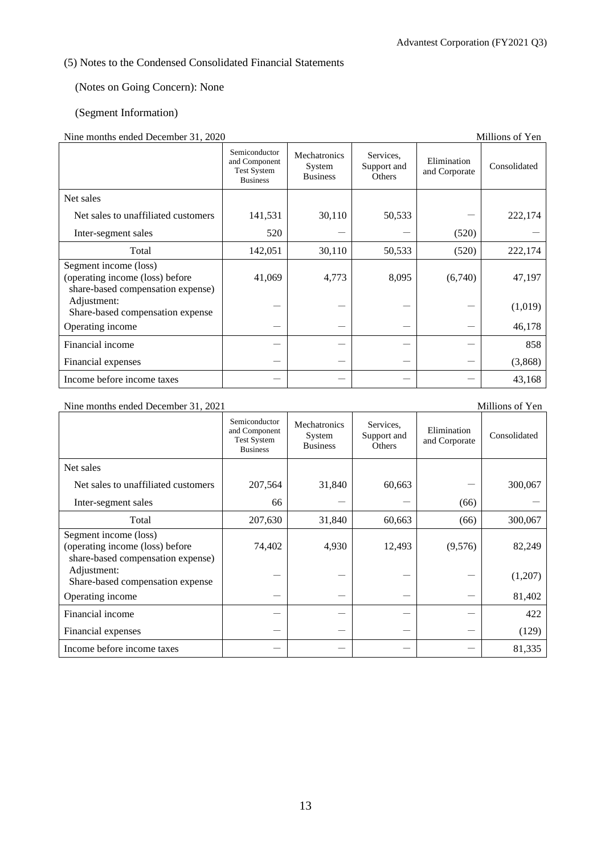## (5) Notes to the Condensed Consolidated Financial Statements

## (Notes on Going Concern): None

### (Segment Information)

## Nine months ended December 31, 2020

| Thing months ended December 31, $2020$<br>минону от теп                                       |                                                                         |                                           |                                    |                              |              |  |
|-----------------------------------------------------------------------------------------------|-------------------------------------------------------------------------|-------------------------------------------|------------------------------------|------------------------------|--------------|--|
|                                                                                               | Semiconductor<br>and Component<br><b>Test System</b><br><b>Business</b> | Mechatronics<br>System<br><b>Business</b> | Services,<br>Support and<br>Others | Elimination<br>and Corporate | Consolidated |  |
| Net sales                                                                                     |                                                                         |                                           |                                    |                              |              |  |
| Net sales to unaffiliated customers                                                           | 141,531                                                                 | 30,110                                    | 50,533                             |                              | 222,174      |  |
| Inter-segment sales                                                                           | 520                                                                     |                                           |                                    | (520)                        |              |  |
| Total                                                                                         | 142,051                                                                 | 30,110                                    | 50,533                             | (520)                        | 222,174      |  |
| Segment income (loss)<br>(operating income (loss) before<br>share-based compensation expense) | 41,069                                                                  | 4,773                                     | 8,095                              | (6,740)                      | 47,197       |  |
| Adjustment:<br>Share-based compensation expense                                               |                                                                         |                                           |                                    |                              | (1,019)      |  |
| Operating income                                                                              |                                                                         |                                           |                                    |                              | 46,178       |  |
| Financial income                                                                              |                                                                         |                                           |                                    |                              | 858          |  |
| Financial expenses                                                                            |                                                                         |                                           |                                    |                              | (3,868)      |  |
| Income before income taxes                                                                    |                                                                         |                                           |                                    |                              | 43,168       |  |

Nine months ended December 31, 2021 Millions of Yen

| $\frac{1}{1}$ and monthly ended December 91, 2021                                             |                                                                         |                                           |                                    |                              |              |  |
|-----------------------------------------------------------------------------------------------|-------------------------------------------------------------------------|-------------------------------------------|------------------------------------|------------------------------|--------------|--|
|                                                                                               | Semiconductor<br>and Component<br><b>Test System</b><br><b>Business</b> | Mechatronics<br>System<br><b>Business</b> | Services,<br>Support and<br>Others | Elimination<br>and Corporate | Consolidated |  |
| Net sales                                                                                     |                                                                         |                                           |                                    |                              |              |  |
| Net sales to unaffiliated customers                                                           | 207,564                                                                 | 31,840                                    | 60,663                             |                              | 300,067      |  |
| Inter-segment sales                                                                           | 66                                                                      |                                           |                                    | (66)                         |              |  |
| Total                                                                                         | 207,630                                                                 | 31,840                                    | 60,663                             | (66)                         | 300,067      |  |
| Segment income (loss)<br>(operating income (loss) before<br>share-based compensation expense) | 74,402                                                                  | 4,930                                     | 12,493                             | (9,576)                      | 82,249       |  |
| Adjustment:<br>Share-based compensation expense                                               |                                                                         |                                           |                                    |                              | (1,207)      |  |
| Operating income                                                                              |                                                                         |                                           |                                    |                              | 81,402       |  |
| Financial income                                                                              |                                                                         |                                           |                                    |                              | 422          |  |
| Financial expenses                                                                            |                                                                         |                                           |                                    |                              | (129)        |  |
| Income before income taxes                                                                    |                                                                         |                                           |                                    |                              | 81,335       |  |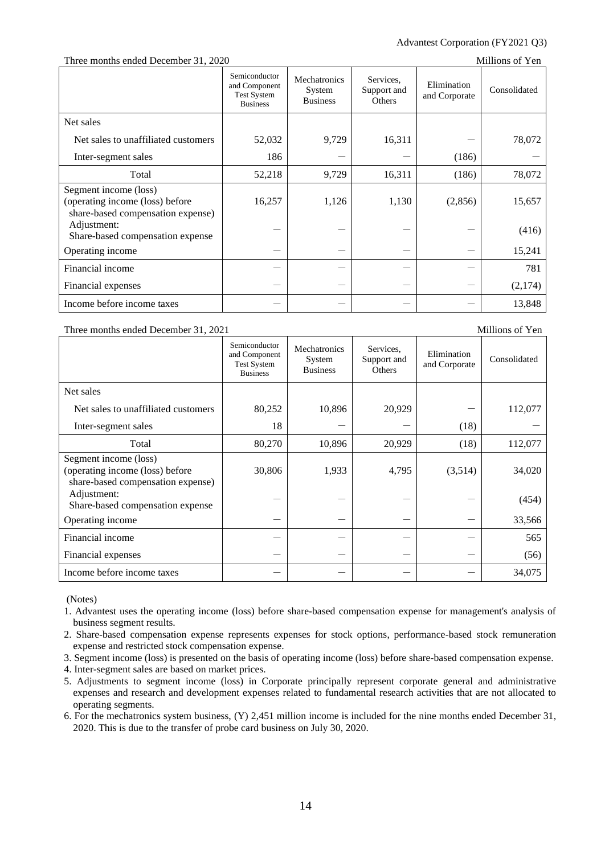### Advantest Corporation (FY2021 Q3)

### Three months ended December 31, 2020

|                                                                                               | Semiconductor<br>and Component<br><b>Test System</b><br><b>Business</b> | Mechatronics<br>System<br><b>Business</b> | Services.<br>Support and<br>Others | Elimination<br>and Corporate | Consolidated |
|-----------------------------------------------------------------------------------------------|-------------------------------------------------------------------------|-------------------------------------------|------------------------------------|------------------------------|--------------|
| Net sales                                                                                     |                                                                         |                                           |                                    |                              |              |
| Net sales to unaffiliated customers                                                           | 52,032                                                                  | 9,729                                     | 16,311                             |                              | 78,072       |
| Inter-segment sales                                                                           | 186                                                                     |                                           |                                    | (186)                        |              |
| Total                                                                                         | 52,218                                                                  | 9,729                                     | 16,311                             | (186)                        | 78,072       |
| Segment income (loss)<br>(operating income (loss) before<br>share-based compensation expense) | 16,257                                                                  | 1,126                                     | 1,130                              | (2,856)                      | 15,657       |
| Adjustment:<br>Share-based compensation expense                                               |                                                                         |                                           |                                    |                              | (416)        |
| Operating income                                                                              |                                                                         |                                           |                                    |                              | 15,241       |
| Financial income                                                                              |                                                                         |                                           |                                    |                              | 781          |
| Financial expenses                                                                            |                                                                         |                                           |                                    |                              | (2,174)      |
| Income before income taxes                                                                    |                                                                         |                                           |                                    |                              | 13,848       |

#### Three months ended December 31, 2021 Millions of Yen

Semiconductor and Component Test System Business Mechatronics System Business Services, Support and **Others** Elimination Elimination Consolidated<br>and Corporate Consolidated Net sales Net sales to unaffiliated customers 80,252 10,896 20,929 - 112,077 Inter-segment sales  $18$   $(18)$ Total  $80,270$  10,896 20,929 (18) 112,077 Segment income (loss) (operating income (loss) before share-based compensation expense) 30,806 1,933 4,795 (3,514) 34,020 Adjustment:  $S<sub>h</sub>$  -  $S<sub>h</sub>$  -  $S<sub>h</sub>$  -  $S<sub>h</sub>$  -  $S<sub>h</sub>$  -  $S<sub>h</sub>$  -  $S<sub>h</sub>$  -  $S<sub>h</sub>$  -  $S<sub>h</sub>$  -  $S<sub>h</sub>$  -  $S<sub>h</sub>$  -  $S<sub>h</sub>$  -  $S<sub>h</sub>$  -  $S<sub>h</sub>$  -  $S<sub>h</sub>$  -  $S<sub>h</sub>$  -  $S<sub>h</sub>$  - Operating income - - - - 33,566 Financial income - - - - 565 Financial expenses  $(56)$ Income before income taxes  $34,075$ 

(Notes)

- 1. Advantest uses the operating income (loss) before share-based compensation expense for management's analysis of business segment results.
- 2. Share-based compensation expense represents expenses for stock options, performance-based stock remuneration expense and restricted stock compensation expense.
- 3. Segment income (loss) is presented on the basis of operating income (loss) before share-based compensation expense.
- 4. Inter-segment sales are based on market prices.
- 5. Adjustments to segment income (loss) in Corporate principally represent corporate general and administrative expenses and research and development expenses related to fundamental research activities that are not allocated to operating segments.
- 6. For the mechatronics system business, (Y) 2,451 million income is included for the nine months ended December 31, 2020. This is due to the transfer of probe card business on July 30, 2020.